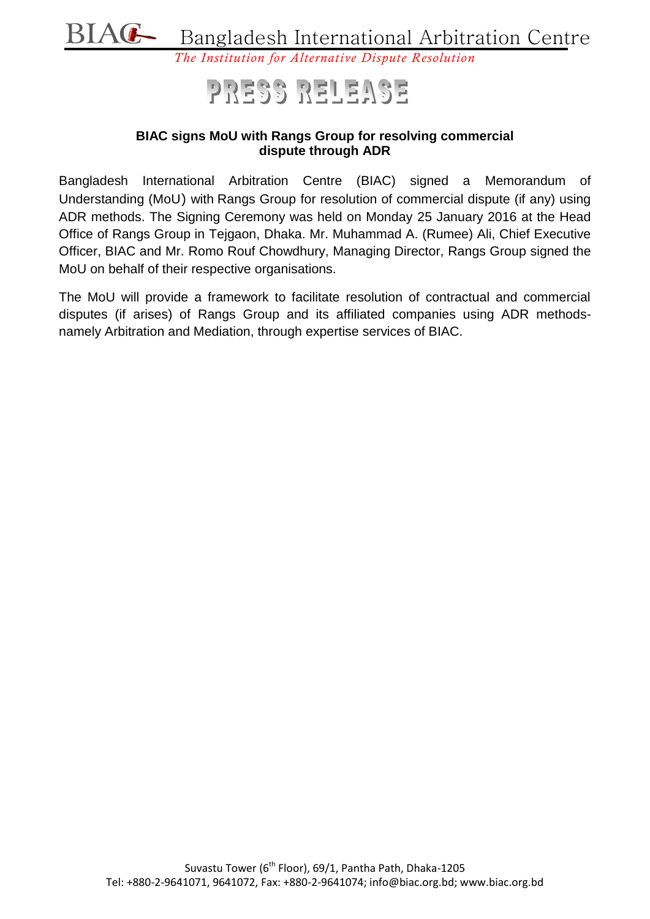

## PRESS RELEASE

## **BIAC signs MoU with Rangs Group for resolving commercial dispute through ADR**

Bangladesh International Arbitration Centre (BIAC) signed a Memorandum of Understanding (MoU) with Rangs Group for resolution of commercial dispute (if any) using ADR methods. The Signing Ceremony was held on Monday 25 January 2016 at the Head Office of Rangs Group in Tejgaon, Dhaka. Mr. Muhammad A. (Rumee) Ali, Chief Executive Officer, BIAC and Mr. Romo Rouf Chowdhury, Managing Director, Rangs Group signed the MoU on behalf of their respective organisations.

The MoU will provide a framework to facilitate resolution of contractual and commercial disputes (if arises) of Rangs Group and its affiliated companies using ADR methodsnamely Arbitration and Mediation, through expertise services of BIAC.